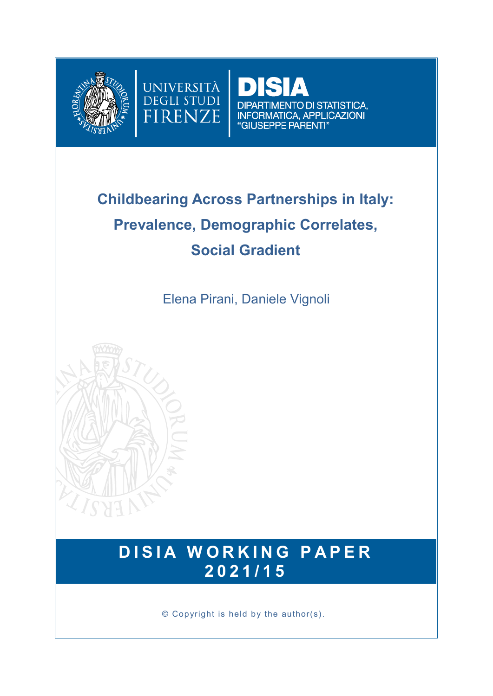



**DIPARTIMENTO DI STATISTICA,** INFORMATICA, APPLICAZIONI "GIUSEPPE PARENTI"

# **Childbearing Across Partnerships in Italy: Prevalence, Demographic Correlates, Social Gradient**

Elena Pirani, Daniele Vignoli



## **DISIA WORKING PAPER 2 0 2 1 / 1 5**

© Copyright is held by the author(s).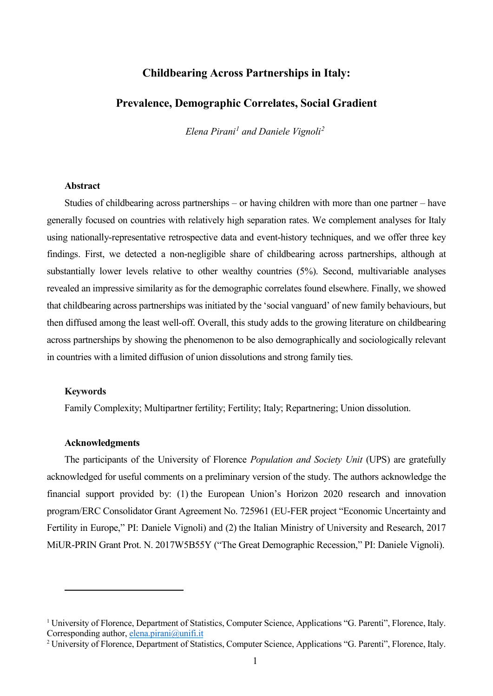#### **Childbearing Across Partnerships in Italy:**

#### **Prevalence, Demographic Correlates, Social Gradient**

*Elena Pirani[1](#page-1-0) and Daniele Vignoli[2](#page-1-1)*

#### **Abstract**

Studies of childbearing across partnerships – or having children with more than one partner – have generally focused on countries with relatively high separation rates. We complement analyses for Italy using nationally-representative retrospective data and event-history techniques, and we offer three key findings. First, we detected a non-negligible share of childbearing across partnerships, although at substantially lower levels relative to other wealthy countries (5%). Second, multivariable analyses revealed an impressive similarity as for the demographic correlates found elsewhere. Finally, we showed that childbearing across partnerships was initiated by the 'social vanguard' of new family behaviours, but then diffused among the least well-off. Overall, this study adds to the growing literature on childbearing across partnerships by showing the phenomenon to be also demographically and sociologically relevant in countries with a limited diffusion of union dissolutions and strong family ties.

#### **Keywords**

 $\overline{a}$ 

Family Complexity; Multipartner fertility; Fertility; Italy; Repartnering; Union dissolution.

#### **Acknowledgments**

The participants of the University of Florence *Population and Society Unit* (UPS) are gratefully acknowledged for useful comments on a preliminary version of the study. The authors acknowledge the financial support provided by: (1) the European Union's Horizon 2020 research and innovation program/ERC Consolidator Grant Agreement No. 725961 (EU-FER project "Economic Uncertainty and Fertility in Europe," PI: Daniele Vignoli) and (2) the Italian Ministry of University and Research, 2017 MiUR-PRIN Grant Prot. N. 2017W5B55Y ("The Great Demographic Recession," PI: Daniele Vignoli).

<span id="page-1-0"></span><sup>&</sup>lt;sup>1</sup> University of Florence, Department of Statistics, Computer Science, Applications "G. Parenti", Florence, Italy. Corresponding author, [elena.pirani@unifi.it](mailto:elena.pirani@unifi.it)

<span id="page-1-1"></span><sup>&</sup>lt;sup>2</sup> University of Florence, Department of Statistics, Computer Science, Applications "G. Parenti", Florence, Italy.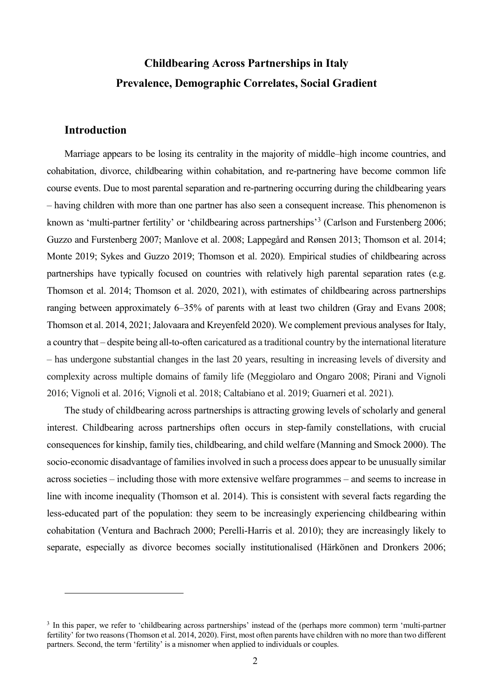## **Childbearing Across Partnerships in Italy Prevalence, Demographic Correlates, Social Gradient**

#### **Introduction**

 $\overline{a}$ 

Marriage appears to be losing its centrality in the majority of middle–high income countries, and cohabitation, divorce, childbearing within cohabitation, and re-partnering have become common life course events. Due to most parental separation and re-partnering occurring during the childbearing years – having children with more than one partner has also seen a consequent increase. This phenomenon is known as 'multi-partner fertility' or 'childbearing across partnerships'<sup>[3](#page-2-0)</sup> (Carlson and Furstenberg 2006; Guzzo and Furstenberg 2007; Manlove et al. 2008; Lappegård and Rønsen 2013; Thomson et al. 2014; Monte 2019; Sykes and Guzzo 2019; Thomson et al. 2020). Empirical studies of childbearing across partnerships have typically focused on countries with relatively high parental separation rates (e.g. Thomson et al. 2014; Thomson et al. 2020, 2021), with estimates of childbearing across partnerships ranging between approximately 6–35% of parents with at least two children (Gray and Evans 2008; Thomson et al. 2014, 2021; Jalovaara and Kreyenfeld 2020). We complement previous analyses for Italy, a country that – despite being all-to-often caricatured as a traditional country by the international literature – has undergone substantial changes in the last 20 years, resulting in increasing levels of diversity and complexity across multiple domains of family life (Meggiolaro and Ongaro 2008; Pirani and Vignoli 2016; Vignoli et al. 2016; Vignoli et al. 2018; Caltabiano et al. 2019; Guarneri et al. 2021).

The study of childbearing across partnerships is attracting growing levels of scholarly and general interest. Childbearing across partnerships often occurs in step-family constellations, with crucial consequences for kinship, family ties, childbearing, and child welfare (Manning and Smock 2000). The socio-economic disadvantage of families involved in such a process does appear to be unusually similar across societies – including those with more extensive welfare programmes – and seems to increase in line with income inequality (Thomson et al. 2014). This is consistent with several facts regarding the less-educated part of the population: they seem to be increasingly experiencing childbearing within cohabitation (Ventura and Bachrach 2000; Perelli-Harris et al. 2010); they are increasingly likely to separate, especially as divorce becomes socially institutionalised (Härkönen and Dronkers 2006;

<span id="page-2-0"></span><sup>&</sup>lt;sup>3</sup> In this paper, we refer to 'childbearing across partnerships' instead of the (perhaps more common) term 'multi-partner fertility' for two reasons (Thomson et al. 2014, 2020). First, most often parents have children with no more than two different partners. Second, the term 'fertility' is a misnomer when applied to individuals or couples.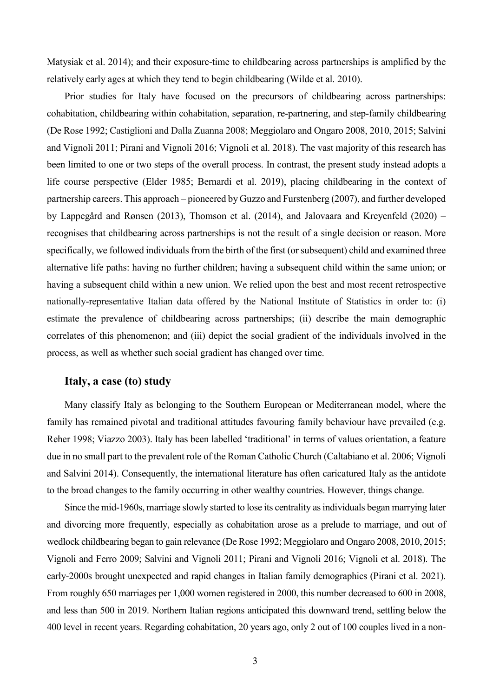Matysiak et al. 2014); and their exposure-time to childbearing across partnerships is amplified by the relatively early ages at which they tend to begin childbearing (Wilde et al. 2010).

Prior studies for Italy have focused on the precursors of childbearing across partnerships: cohabitation, childbearing within cohabitation, separation, re-partnering, and step-family childbearing (De Rose 1992; Castiglioni and Dalla Zuanna 2008; Meggiolaro and Ongaro 2008, 2010, 2015; Salvini and Vignoli 2011; Pirani and Vignoli 2016; Vignoli et al. 2018). The vast majority of this research has been limited to one or two steps of the overall process. In contrast, the present study instead adopts a life course perspective (Elder 1985; Bernardi et al. 2019), placing childbearing in the context of partnership careers. This approach – pioneered by Guzzo and Furstenberg (2007), and further developed by Lappegård and Rønsen (2013), Thomson et al. (2014), and Jalovaara and Kreyenfeld (2020) – recognises that childbearing across partnerships is not the result of a single decision or reason. More specifically, we followed individuals from the birth of the first (or subsequent) child and examined three alternative life paths: having no further children; having a subsequent child within the same union; or having a subsequent child within a new union. We relied upon the best and most recent retrospective nationally-representative Italian data offered by the National Institute of Statistics in order to: (i) estimate the prevalence of childbearing across partnerships; (ii) describe the main demographic correlates of this phenomenon; and (iii) depict the social gradient of the individuals involved in the process, as well as whether such social gradient has changed over time.

#### **Italy, a case (to) study**

Many classify Italy as belonging to the Southern European or Mediterranean model, where the family has remained pivotal and traditional attitudes favouring family behaviour have prevailed (e.g. Reher 1998; Viazzo 2003). Italy has been labelled 'traditional' in terms of values orientation, a feature due in no small part to the prevalent role of the Roman Catholic Church (Caltabiano et al. 2006; Vignoli and Salvini 2014). Consequently, the international literature has often caricatured Italy as the antidote to the broad changes to the family occurring in other wealthy countries. However, things change.

Since the mid-1960s, marriage slowly started to lose its centrality as individuals began marrying later and divorcing more frequently, especially as cohabitation arose as a prelude to marriage, and out of wedlock childbearing began to gain relevance (De Rose 1992; Meggiolaro and Ongaro 2008, 2010, 2015; Vignoli and Ferro 2009; Salvini and Vignoli 2011; Pirani and Vignoli 2016; Vignoli et al. 2018). The early-2000s brought unexpected and rapid changes in Italian family demographics (Pirani et al. 2021). From roughly 650 marriages per 1,000 women registered in 2000, this number decreased to 600 in 2008, and less than 500 in 2019. Northern Italian regions anticipated this downward trend, settling below the 400 level in recent years. Regarding cohabitation, 20 years ago, only 2 out of 100 couples lived in a non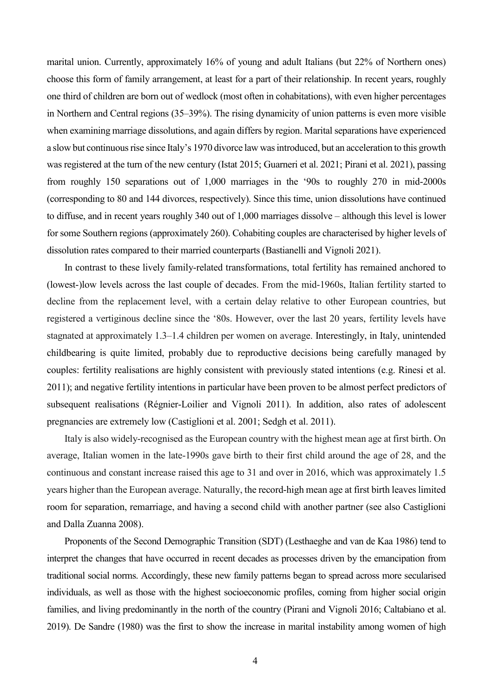marital union. Currently, approximately 16% of young and adult Italians (but 22% of Northern ones) choose this form of family arrangement, at least for a part of their relationship. In recent years, roughly one third of children are born out of wedlock (most often in cohabitations), with even higher percentages in Northern and Central regions (35–39%). The rising dynamicity of union patterns is even more visible when examining marriage dissolutions, and again differs by region. Marital separations have experienced a slow but continuous rise since Italy's 1970 divorce law was introduced, but an acceleration to this growth was registered at the turn of the new century (Istat 2015; Guarneri et al. 2021; Pirani et al. 2021), passing from roughly 150 separations out of 1,000 marriages in the '90s to roughly 270 in mid-2000s (corresponding to 80 and 144 divorces, respectively). Since this time, union dissolutions have continued to diffuse, and in recent years roughly 340 out of 1,000 marriages dissolve – although this level is lower for some Southern regions (approximately 260). Cohabiting couples are characterised by higher levels of dissolution rates compared to their married counterparts (Bastianelli and Vignoli 2021).

In contrast to these lively family-related transformations, total fertility has remained anchored to (lowest-)low levels across the last couple of decades. From the mid-1960s, Italian fertility started to decline from the replacement level, with a certain delay relative to other European countries, but registered a vertiginous decline since the '80s. However, over the last 20 years, fertility levels have stagnated at approximately 1.3–1.4 children per women on average. Interestingly, in Italy, unintended childbearing is quite limited, probably due to reproductive decisions being carefully managed by couples: fertility realisations are highly consistent with previously stated intentions (e.g. Rinesi et al. 2011); and negative fertility intentions in particular have been proven to be almost perfect predictors of subsequent realisations (Régnier-Loilier and Vignoli 2011). In addition, also rates of adolescent pregnancies are extremely low (Castiglioni et al. 2001; Sedgh et al. 2011).

Italy is also widely-recognised as the European country with the highest mean age at first birth. On average, Italian women in the late-1990s gave birth to their first child around the age of 28, and the continuous and constant increase raised this age to 31 and over in 2016, which was approximately 1.5 years higher than the European average. Naturally, the record-high mean age at first birth leaveslimited room for separation, remarriage, and having a second child with another partner (see also Castiglioni and Dalla Zuanna 2008).

Proponents of the Second Demographic Transition (SDT) (Lesthaeghe and van de Kaa 1986) tend to interpret the changes that have occurred in recent decades as processes driven by the emancipation from traditional social norms. Accordingly, these new family patterns began to spread across more secularised individuals, as well as those with the highest socioeconomic profiles, coming from higher social origin families, and living predominantly in the north of the country (Pirani and Vignoli 2016; Caltabiano et al. 2019). De Sandre (1980) was the first to show the increase in marital instability among women of high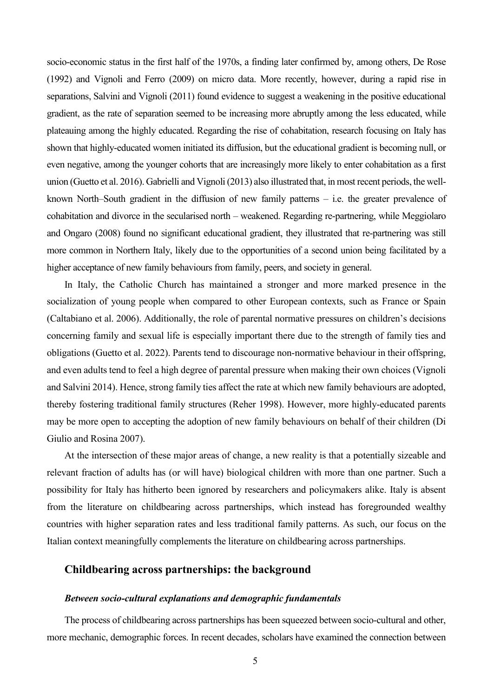socio-economic status in the first half of the 1970s, a finding later confirmed by, among others, De Rose (1992) and Vignoli and Ferro (2009) on micro data. More recently, however, during a rapid rise in separations, Salvini and Vignoli (2011) found evidence to suggest a weakening in the positive educational gradient, as the rate of separation seemed to be increasing more abruptly among the less educated, while plateauing among the highly educated. Regarding the rise of cohabitation, research focusing on Italy has shown that highly-educated women initiated its diffusion, but the educational gradient is becoming null, or even negative, among the younger cohorts that are increasingly more likely to enter cohabitation as a first union (Guetto et al. 2016). Gabrielli and Vignoli (2013) also illustrated that, in most recent periods, the wellknown North–South gradient in the diffusion of new family patterns – i.e. the greater prevalence of cohabitation and divorce in the secularised north – weakened. Regarding re-partnering, while Meggiolaro and Ongaro (2008) found no significant educational gradient, they illustrated that re-partnering was still more common in Northern Italy, likely due to the opportunities of a second union being facilitated by a higher acceptance of new family behaviours from family, peers, and society in general.

In Italy, the Catholic Church has maintained a stronger and more marked presence in the socialization of young people when compared to other European contexts, such as France or Spain (Caltabiano et al. 2006). Additionally, the role of parental normative pressures on children's decisions concerning family and sexual life is especially important there due to the strength of family ties and obligations (Guetto et al. 2022). Parents tend to discourage non-normative behaviour in their offspring, and even adults tend to feel a high degree of parental pressure when making their own choices (Vignoli and Salvini 2014). Hence, strong family ties affect the rate at which new family behaviours are adopted, thereby fostering traditional family structures (Reher 1998). However, more highly-educated parents may be more open to accepting the adoption of new family behaviours on behalf of their children (Di Giulio and Rosina 2007).

At the intersection of these major areas of change, a new reality is that a potentially sizeable and relevant fraction of adults has (or will have) biological children with more than one partner. Such a possibility for Italy has hitherto been ignored by researchers and policymakers alike. Italy is absent from the literature on childbearing across partnerships, which instead has foregrounded wealthy countries with higher separation rates and less traditional family patterns. As such, our focus on the Italian context meaningfully complements the literature on childbearing across partnerships.

#### **Childbearing across partnerships: the background**

#### *Between socio-cultural explanations and demographic fundamentals*

The process of childbearing across partnerships has been squeezed between socio-cultural and other, more mechanic, demographic forces. In recent decades, scholars have examined the connection between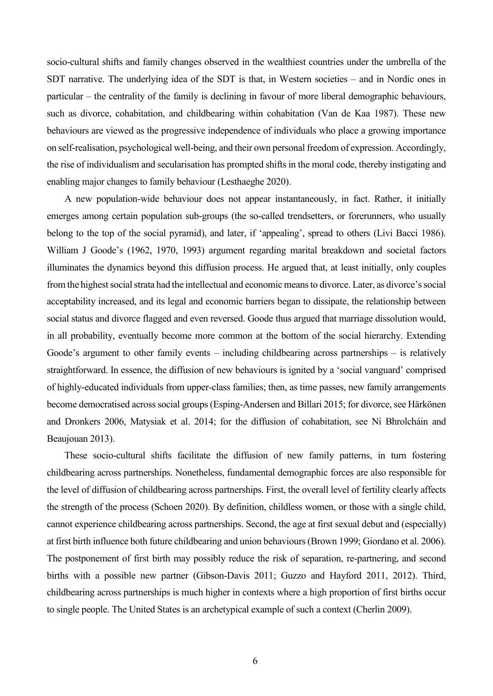socio-cultural shifts and family changes observed in the wealthiest countries under the umbrella of the SDT narrative. The underlying idea of the SDT is that, in Western societies – and in Nordic ones in particular – the centrality of the family is declining in favour of more liberal demographic behaviours, such as divorce, cohabitation, and childbearing within cohabitation (Van de Kaa 1987). These new behaviours are viewed as the progressive independence of individuals who place a growing importance on self-realisation, psychological well-being, and their own personal freedom of expression. Accordingly, the rise of individualism and secularisation has prompted shifts in the moral code, thereby instigating and enabling major changes to family behaviour (Lesthaeghe 2020).

A new population-wide behaviour does not appear instantaneously, in fact. Rather, it initially emerges among certain population sub-groups (the so-called trendsetters, or forerunners, who usually belong to the top of the social pyramid), and later, if 'appealing', spread to others (Livi Bacci 1986). William J Goode's (1962, 1970, 1993) argument regarding marital breakdown and societal factors illuminates the dynamics beyond this diffusion process. He argued that, at least initially, only couples from the highest social strata had the intellectual and economic means to divorce. Later, as divorce's social acceptability increased, and its legal and economic barriers began to dissipate, the relationship between social status and divorce flagged and even reversed. Goode thus argued that marriage dissolution would, in all probability, eventually become more common at the bottom of the social hierarchy. Extending Goode's argument to other family events – including childbearing across partnerships – is relatively straightforward. In essence, the diffusion of new behaviours is ignited by a 'social vanguard' comprised of highly-educated individuals from upper-class families; then, as time passes, new family arrangements become democratised across social groups (Esping-Andersen and Billari 2015; for divorce, see Härkönen and Dronkers 2006, Matysiak et al. 2014; for the diffusion of cohabitation, see Ní Bhrolcháin and Beaujouan 2013).

These socio-cultural shifts facilitate the diffusion of new family patterns, in turn fostering childbearing across partnerships. Nonetheless, fundamental demographic forces are also responsible for the level of diffusion of childbearing across partnerships. First, the overall level of fertility clearly affects the strength of the process (Schoen 2020). By definition, childless women, or those with a single child, cannot experience childbearing across partnerships. Second, the age at first sexual debut and (especially) at first birth influence both future childbearing and union behaviours (Brown 1999; Giordano et al. 2006). The postponement of first birth may possibly reduce the risk of separation, re-partnering, and second births with a possible new partner (Gibson-Davis 2011; Guzzo and Hayford 2011, 2012). Third, childbearing across partnerships is much higher in contexts where a high proportion of first births occur to single people. The United States is an archetypical example of such a context (Cherlin 2009).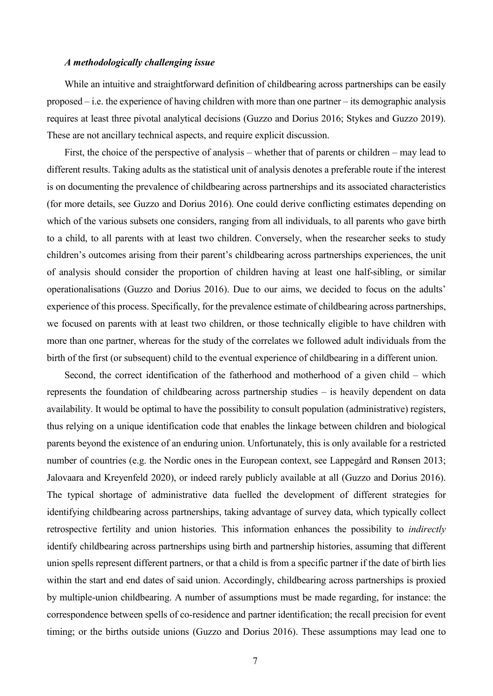#### *A methodologically challenging issue*

While an intuitive and straightforward definition of childbearing across partnerships can be easily proposed – i.e. the experience of having children with more than one partner – its demographic analysis requires at least three pivotal analytical decisions (Guzzo and Dorius 2016; Stykes and Guzzo 2019). These are not ancillary technical aspects, and require explicit discussion.

First, the choice of the perspective of analysis – whether that of parents or children – may lead to different results. Taking adults as the statistical unit of analysis denotes a preferable route if the interest is on documenting the prevalence of childbearing across partnerships and its associated characteristics (for more details, see Guzzo and Dorius 2016). One could derive conflicting estimates depending on which of the various subsets one considers, ranging from all individuals, to all parents who gave birth to a child, to all parents with at least two children. Conversely, when the researcher seeks to study children's outcomes arising from their parent's childbearing across partnerships experiences, the unit of analysis should consider the proportion of children having at least one half-sibling, or similar operationalisations (Guzzo and Dorius 2016). Due to our aims, we decided to focus on the adults' experience of this process. Specifically, for the prevalence estimate of childbearing across partnerships, we focused on parents with at least two children, or those technically eligible to have children with more than one partner, whereas for the study of the correlates we followed adult individuals from the birth of the first (or subsequent) child to the eventual experience of childbearing in a different union.

Second, the correct identification of the fatherhood and motherhood of a given child – which represents the foundation of childbearing across partnership studies – is heavily dependent on data availability. It would be optimal to have the possibility to consult population (administrative) registers, thus relying on a unique identification code that enables the linkage between children and biological parents beyond the existence of an enduring union. Unfortunately, this is only available for a restricted number of countries (e.g. the Nordic ones in the European context, see Lappegård and Rønsen 2013; Jalovaara and Kreyenfeld 2020), or indeed rarely publicly available at all (Guzzo and Dorius 2016). The typical shortage of administrative data fuelled the development of different strategies for identifying childbearing across partnerships, taking advantage of survey data, which typically collect retrospective fertility and union histories. This information enhances the possibility to *indirectly* identify childbearing across partnerships using birth and partnership histories, assuming that different union spells represent different partners, or that a child is from a specific partner if the date of birth lies within the start and end dates of said union. Accordingly, childbearing across partnerships is proxied by multiple-union childbearing. A number of assumptions must be made regarding, for instance: the correspondence between spells of co-residence and partner identification; the recall precision for event timing; or the births outside unions (Guzzo and Dorius 2016). These assumptions may lead one to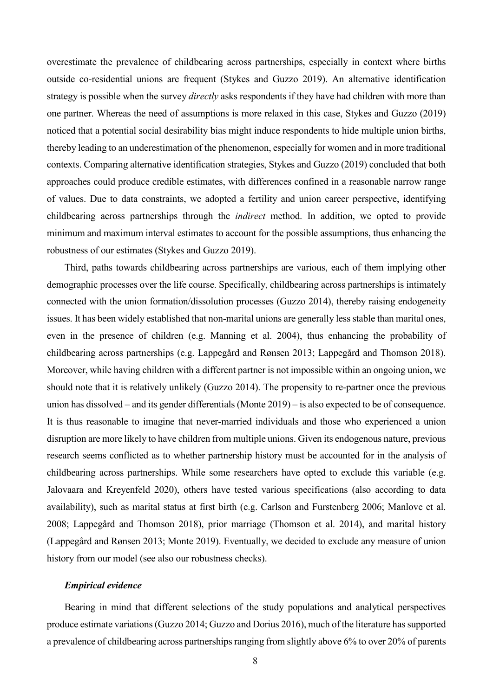overestimate the prevalence of childbearing across partnerships, especially in context where births outside co-residential unions are frequent (Stykes and Guzzo 2019). An alternative identification strategy is possible when the survey *directly* asks respondents if they have had children with more than one partner. Whereas the need of assumptions is more relaxed in this case, Stykes and Guzzo (2019) noticed that a potential social desirability bias might induce respondents to hide multiple union births, thereby leading to an underestimation of the phenomenon, especially for women and in more traditional contexts. Comparing alternative identification strategies, Stykes and Guzzo (2019) concluded that both approaches could produce credible estimates, with differences confined in a reasonable narrow range of values. Due to data constraints, we adopted a fertility and union career perspective, identifying childbearing across partnerships through the *indirect* method. In addition, we opted to provide minimum and maximum interval estimates to account for the possible assumptions, thus enhancing the robustness of our estimates (Stykes and Guzzo 2019).

Third, paths towards childbearing across partnerships are various, each of them implying other demographic processes over the life course. Specifically, childbearing across partnerships is intimately connected with the union formation/dissolution processes (Guzzo 2014), thereby raising endogeneity issues. It has been widely established that non-marital unions are generally less stable than marital ones, even in the presence of children (e.g. Manning et al. 2004), thus enhancing the probability of childbearing across partnerships (e.g. Lappegård and Rønsen 2013; Lappegård and Thomson 2018). Moreover, while having children with a different partner is not impossible within an ongoing union, we should note that it is relatively unlikely (Guzzo 2014). The propensity to re-partner once the previous union has dissolved – and its gender differentials (Monte 2019) – is also expected to be of consequence. It is thus reasonable to imagine that never-married individuals and those who experienced a union disruption are more likely to have children from multiple unions. Given its endogenous nature, previous research seems conflicted as to whether partnership history must be accounted for in the analysis of childbearing across partnerships. While some researchers have opted to exclude this variable (e.g. Jalovaara and Kreyenfeld 2020), others have tested various specifications (also according to data availability), such as marital status at first birth (e.g. Carlson and Furstenberg 2006; Manlove et al. 2008; Lappegård and Thomson 2018), prior marriage (Thomson et al. 2014), and marital history (Lappegård and Rønsen 2013; Monte 2019). Eventually, we decided to exclude any measure of union history from our model (see also our robustness checks).

#### *Empirical evidence*

Bearing in mind that different selections of the study populations and analytical perspectives produce estimate variations(Guzzo 2014; Guzzo and Dorius 2016), much of the literature has supported a prevalence of childbearing across partnerships ranging from slightly above 6% to over 20% of parents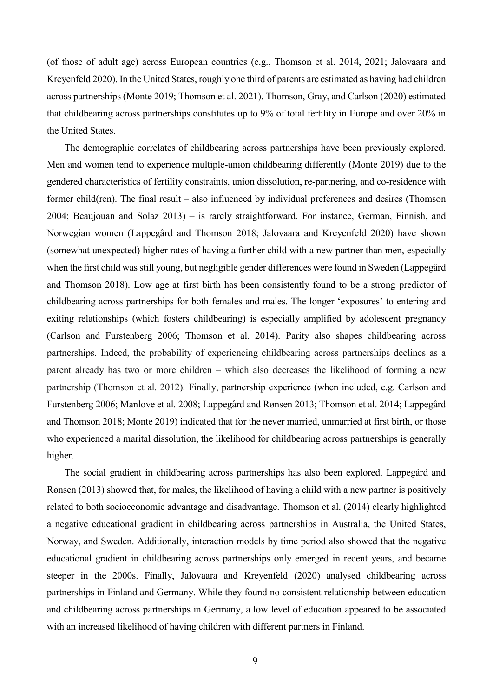(of those of adult age) across European countries (e.g., Thomson et al. 2014, 2021; Jalovaara and Kreyenfeld 2020). In the United States, roughly one third of parents are estimated as having had children across partnerships (Monte 2019; Thomson et al. 2021). Thomson, Gray, and Carlson (2020) estimated that childbearing across partnerships constitutes up to 9% of total fertility in Europe and over 20% in the United States.

The demographic correlates of childbearing across partnerships have been previously explored. Men and women tend to experience multiple-union childbearing differently (Monte 2019) due to the gendered characteristics of fertility constraints, union dissolution, re-partnering, and co-residence with former child(ren). The final result – also influenced by individual preferences and desires (Thomson 2004; Beaujouan and Solaz 2013) – is rarely straightforward. For instance, German, Finnish, and Norwegian women (Lappegård and Thomson 2018; Jalovaara and Kreyenfeld 2020) have shown (somewhat unexpected) higher rates of having a further child with a new partner than men, especially when the first child was still young, but negligible gender differences were found in Sweden (Lappegård and Thomson 2018). Low age at first birth has been consistently found to be a strong predictor of childbearing across partnerships for both females and males. The longer 'exposures' to entering and exiting relationships (which fosters childbearing) is especially amplified by adolescent pregnancy (Carlson and Furstenberg 2006; Thomson et al. 2014). Parity also shapes childbearing across partnerships. Indeed, the probability of experiencing childbearing across partnerships declines as a parent already has two or more children – which also decreases the likelihood of forming a new partnership (Thomson et al. 2012). Finally, partnership experience (when included, e.g. Carlson and Furstenberg 2006; Manlove et al. 2008; Lappegård and Rønsen 2013; Thomson et al. 2014; Lappegård and Thomson 2018; Monte 2019) indicated that for the never married, unmarried at first birth, or those who experienced a marital dissolution, the likelihood for childbearing across partnerships is generally higher.

The social gradient in childbearing across partnerships has also been explored. Lappegård and Rønsen (2013) showed that, for males, the likelihood of having a child with a new partner is positively related to both socioeconomic advantage and disadvantage. Thomson et al. (2014) clearly highlighted a negative educational gradient in childbearing across partnerships in Australia, the United States, Norway, and Sweden. Additionally, interaction models by time period also showed that the negative educational gradient in childbearing across partnerships only emerged in recent years, and became steeper in the 2000s. Finally, Jalovaara and Kreyenfeld (2020) analysed childbearing across partnerships in Finland and Germany. While they found no consistent relationship between education and childbearing across partnerships in Germany, a low level of education appeared to be associated with an increased likelihood of having children with different partners in Finland.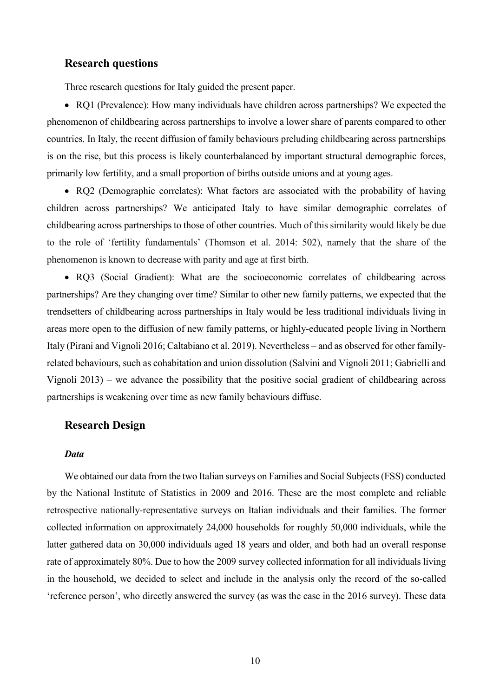#### **Research questions**

Three research questions for Italy guided the present paper.

• RQ1 (Prevalence): How many individuals have children across partnerships? We expected the phenomenon of childbearing across partnerships to involve a lower share of parents compared to other countries. In Italy, the recent diffusion of family behaviours preluding childbearing across partnerships is on the rise, but this process is likely counterbalanced by important structural demographic forces, primarily low fertility, and a small proportion of births outside unions and at young ages.

• RQ2 (Demographic correlates): What factors are associated with the probability of having children across partnerships? We anticipated Italy to have similar demographic correlates of childbearing across partnerships to those of other countries. Much of this similarity would likely be due to the role of 'fertility fundamentals' (Thomson et al. 2014: 502), namely that the share of the phenomenon is known to decrease with parity and age at first birth.

• RQ3 (Social Gradient): What are the socioeconomic correlates of childbearing across partnerships? Are they changing over time? Similar to other new family patterns, we expected that the trendsetters of childbearing across partnerships in Italy would be less traditional individuals living in areas more open to the diffusion of new family patterns, or highly-educated people living in Northern Italy (Pirani and Vignoli 2016; Caltabiano et al. 2019). Nevertheless – and as observed for other familyrelated behaviours, such as cohabitation and union dissolution (Salvini and Vignoli 2011; Gabrielli and Vignoli 2013) – we advance the possibility that the positive social gradient of childbearing across partnerships is weakening over time as new family behaviours diffuse.

#### **Research Design**

#### *Data*

We obtained our data from the two Italian surveys on Families and Social Subjects(FSS) conducted by the National Institute of Statistics in 2009 and 2016. These are the most complete and reliable retrospective nationally-representative surveys on Italian individuals and their families. The former collected information on approximately 24,000 households for roughly 50,000 individuals, while the latter gathered data on 30,000 individuals aged 18 years and older, and both had an overall response rate of approximately 80%. Due to how the 2009 survey collected information for all individuals living in the household, we decided to select and include in the analysis only the record of the so-called 'reference person', who directly answered the survey (as was the case in the 2016 survey). These data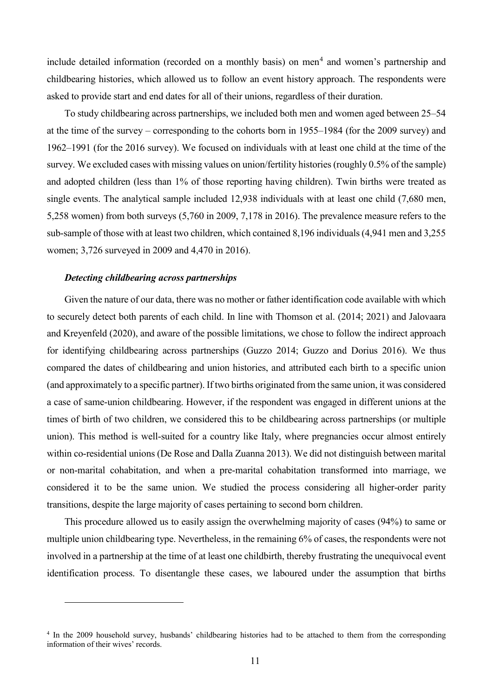include detailed information (recorded on a monthly basis) on men<sup>[4](#page-11-0)</sup> and women's partnership and childbearing histories, which allowed us to follow an event history approach. The respondents were asked to provide start and end dates for all of their unions, regardless of their duration.

To study childbearing across partnerships, we included both men and women aged between 25–54 at the time of the survey – corresponding to the cohorts born in 1955–1984 (for the 2009 survey) and 1962–1991 (for the 2016 survey). We focused on individuals with at least one child at the time of the survey. We excluded cases with missing values on union/fertility histories (roughly 0.5% of the sample) and adopted children (less than 1% of those reporting having children). Twin births were treated as single events. The analytical sample included 12,938 individuals with at least one child (7,680 men, 5,258 women) from both surveys (5,760 in 2009, 7,178 in 2016). The prevalence measure refers to the sub-sample of those with at least two children, which contained 8,196 individuals (4,941 men and 3,255 women; 3,726 surveyed in 2009 and 4,470 in 2016).

#### *Detecting childbearing across partnerships*

 $\overline{a}$ 

Given the nature of our data, there was no mother or father identification code available with which to securely detect both parents of each child. In line with Thomson et al. (2014; 2021) and Jalovaara and Kreyenfeld (2020), and aware of the possible limitations, we chose to follow the indirect approach for identifying childbearing across partnerships (Guzzo 2014; Guzzo and Dorius 2016). We thus compared the dates of childbearing and union histories, and attributed each birth to a specific union (and approximately to a specific partner). If two births originated from the same union, it was considered a case of same-union childbearing. However, if the respondent was engaged in different unions at the times of birth of two children, we considered this to be childbearing across partnerships (or multiple union). This method is well-suited for a country like Italy, where pregnancies occur almost entirely within co-residential unions (De Rose and Dalla Zuanna 2013). We did not distinguish between marital or non-marital cohabitation, and when a pre-marital cohabitation transformed into marriage, we considered it to be the same union. We studied the process considering all higher-order parity transitions, despite the large majority of cases pertaining to second born children.

This procedure allowed us to easily assign the overwhelming majority of cases (94%) to same or multiple union childbearing type. Nevertheless, in the remaining 6% of cases, the respondents were not involved in a partnership at the time of at least one childbirth, thereby frustrating the unequivocal event identification process. To disentangle these cases, we laboured under the assumption that births

<span id="page-11-0"></span><sup>&</sup>lt;sup>4</sup> In the 2009 household survey, husbands' childbearing histories had to be attached to them from the corresponding information of their wives' records.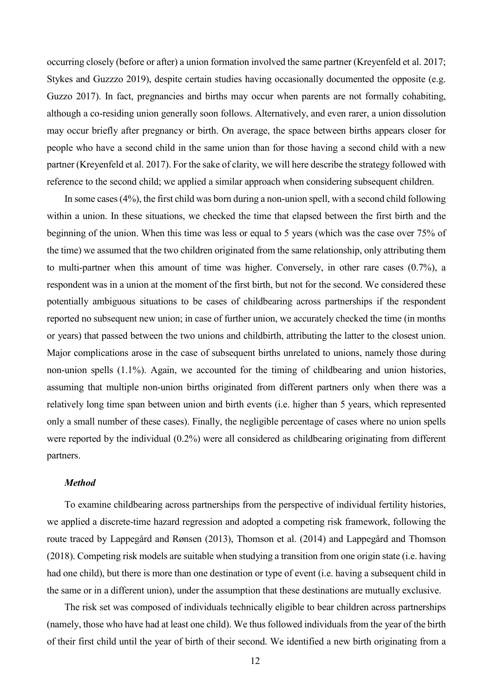occurring closely (before or after) a union formation involved the same partner (Kreyenfeld et al. 2017; Stykes and Guzzzo 2019), despite certain studies having occasionally documented the opposite (e.g. Guzzo 2017). In fact, pregnancies and births may occur when parents are not formally cohabiting, although a co-residing union generally soon follows. Alternatively, and even rarer, a union dissolution may occur briefly after pregnancy or birth. On average, the space between births appears closer for people who have a second child in the same union than for those having a second child with a new partner (Kreyenfeld et al. 2017). For the sake of clarity, we will here describe the strategy followed with reference to the second child; we applied a similar approach when considering subsequent children.

In some cases(4%), the first child was born during a non-union spell, with a second child following within a union. In these situations, we checked the time that elapsed between the first birth and the beginning of the union. When this time was less or equal to 5 years (which was the case over 75% of the time) we assumed that the two children originated from the same relationship, only attributing them to multi-partner when this amount of time was higher. Conversely, in other rare cases (0.7%), a respondent was in a union at the moment of the first birth, but not for the second. We considered these potentially ambiguous situations to be cases of childbearing across partnerships if the respondent reported no subsequent new union; in case of further union, we accurately checked the time (in months or years) that passed between the two unions and childbirth, attributing the latter to the closest union. Major complications arose in the case of subsequent births unrelated to unions, namely those during non-union spells (1.1%). Again, we accounted for the timing of childbearing and union histories, assuming that multiple non-union births originated from different partners only when there was a relatively long time span between union and birth events (i.e. higher than 5 years, which represented only a small number of these cases). Finally, the negligible percentage of cases where no union spells were reported by the individual (0.2%) were all considered as childbearing originating from different partners.

#### *Method*

To examine childbearing across partnerships from the perspective of individual fertility histories, we applied a discrete-time hazard regression and adopted a competing risk framework, following the route traced by Lappegård and Rønsen (2013), Thomson et al. (2014) and Lappegård and Thomson (2018). Competing risk models are suitable when studying a transition from one origin state (i.e. having had one child), but there is more than one destination or type of event (i.e. having a subsequent child in the same or in a different union), under the assumption that these destinations are mutually exclusive.

The risk set was composed of individuals technically eligible to bear children across partnerships (namely, those who have had at least one child). We thus followed individuals from the year of the birth of their first child until the year of birth of their second. We identified a new birth originating from a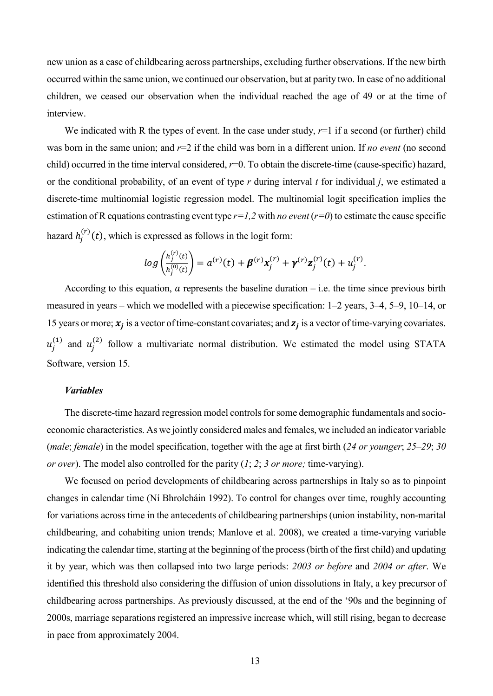new union as a case of childbearing across partnerships, excluding further observations. If the new birth occurred within the same union, we continued our observation, but at parity two. In case of no additional children, we ceased our observation when the individual reached the age of 49 or at the time of interview.

We indicated with R the types of event. In the case under study,  $r=1$  if a second (or further) child was born in the same union; and *r*=2 if the child was born in a different union. If *no event* (no second child) occurred in the time interval considered,  $r=0$ . To obtain the discrete-time (cause-specific) hazard, or the conditional probability, of an event of type *r* during interval *t* for individual *j*, we estimated a discrete-time multinomial logistic regression model. The multinomial logit specification implies the estimation of R equations contrasting event type *r=1,2* with *no event* (*r=0*) to estimate the cause specific hazard  $h_j^{(r)}(t)$ , which is expressed as follows in the logit form:

$$
log\left(\frac{h_j^{(r)}(t)}{h_j^{(0)}(t)}\right) = a^{(r)}(t) + \beta^{(r)}x_j^{(r)} + \gamma^{(r)}z_j^{(r)}(t) + u_j^{(r)}.
$$

According to this equation,  $\alpha$  represents the baseline duration – i.e. the time since previous birth measured in years – which we modelled with a piecewise specification: 1–2 years, 3–4, 5–9, 10–14, or 15 years or more;  $x_j$  is a vector of time-constant covariates; and  $z_j$  is a vector of time-varying covariates.  $u_j^{(1)}$  and  $u_j^{(2)}$  follow a multivariate normal distribution. We estimated the model using STATA Software, version 15.

#### *Variables*

The discrete-time hazard regression model controls for some demographic fundamentals and socioeconomic characteristics. As we jointly considered males and females, we included an indicator variable (*male*; *female*) in the model specification, together with the age at first birth (*24 or younger*; *25–29*; *30 or over*). The model also controlled for the parity (*1*; *2*; *3 or more;* time-varying).

We focused on period developments of childbearing across partnerships in Italy so as to pinpoint changes in calendar time (Ní Bhrolcháin 1992). To control for changes over time, roughly accounting for variations across time in the antecedents of childbearing partnerships (union instability, non-marital childbearing, and cohabiting union trends; Manlove et al. 2008), we created a time-varying variable indicating the calendar time, starting at the beginning of the process (birth of the first child) and updating it by year, which was then collapsed into two large periods: *2003 or before* and *2004 or after*. We identified this threshold also considering the diffusion of union dissolutions in Italy, a key precursor of childbearing across partnerships. As previously discussed, at the end of the '90s and the beginning of 2000s, marriage separations registered an impressive increase which, will still rising, began to decrease in pace from approximately 2004.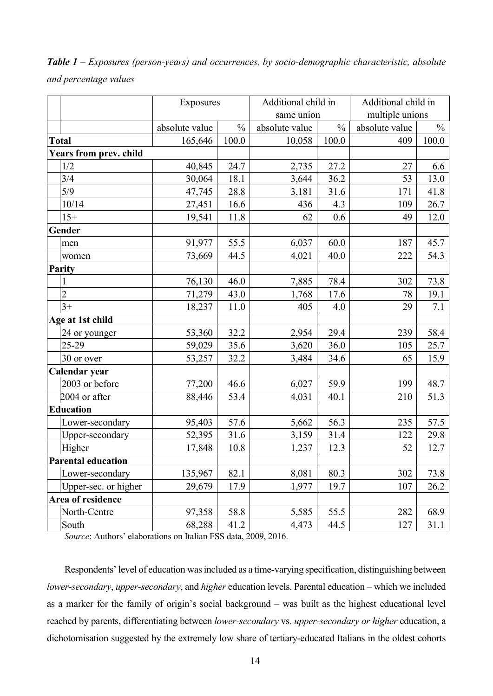|                       |  |  | <b>Table 1</b> – Exposures (person-years) and occurrences, by socio-demographic characteristic, absolute |  |
|-----------------------|--|--|----------------------------------------------------------------------------------------------------------|--|
| and percentage values |  |  |                                                                                                          |  |

|                               | Exposures      |               | Additional child in |               | Additional child in |               |  |
|-------------------------------|----------------|---------------|---------------------|---------------|---------------------|---------------|--|
|                               |                |               |                     | same union    | multiple unions     |               |  |
|                               | absolute value | $\frac{0}{0}$ | absolute value      | $\frac{0}{0}$ | absolute value      | $\frac{0}{0}$ |  |
| <b>Total</b>                  | 165,646        | 100.0         | 10,058              | 100.0         | 409                 | 100.0         |  |
| <b>Years from prev. child</b> |                |               |                     |               |                     |               |  |
| 1/2                           | 40,845         | 24.7          | 2,735               | 27.2          | 27                  | 6.6           |  |
| 3/4                           | 30,064         | 18.1          | 3,644               | 36.2          | 53                  | 13.0          |  |
| 5/9                           | 47,745         | 28.8          | 3,181               | 31.6          | 171                 | 41.8          |  |
| 10/14                         | 27,451         | 16.6          | 436                 | 4.3           | 109                 | 26.7          |  |
| $15+$                         | 19,541         | 11.8          | 62                  | 0.6           | 49                  | 12.0          |  |
| Gender                        |                |               |                     |               |                     |               |  |
| men                           | 91,977         | 55.5          | 6,037               | 60.0          | 187                 | 45.7          |  |
| women                         | 73,669         | 44.5          | 4,021               | 40.0          | 222                 | 54.3          |  |
| <b>Parity</b>                 |                |               |                     |               |                     |               |  |
| $\mathbf{1}$                  | 76,130         | 46.0          | 7,885               | 78.4          | 302                 | 73.8          |  |
| $\overline{2}$                | 71,279         | 43.0          | 1,768               | 17.6          | 78                  | 19.1          |  |
| $3+$                          | 18,237         | 11.0          | 405                 | 4.0           | 29                  | 7.1           |  |
| Age at 1st child              |                |               |                     |               |                     |               |  |
| 24 or younger                 | 53,360         | 32.2          | 2,954               | 29.4          | 239                 | 58.4          |  |
| 25-29                         | 59,029         | 35.6          | 3,620               | 36.0          | 105                 | 25.7          |  |
| 30 or over                    | 53,257         | 32.2          | 3,484               | 34.6          | 65                  | 15.9          |  |
| Calendar year                 |                |               |                     |               |                     |               |  |
| 2003 or before                | 77,200         | 46.6          | 6,027               | 59.9          | 199                 | 48.7          |  |
| 2004 or after                 | 88,446         | 53.4          | 4,031               | 40.1          | 210                 | 51.3          |  |
| <b>Education</b>              |                |               |                     |               |                     |               |  |
| Lower-secondary               | 95,403         | 57.6          | 5,662               | 56.3          | 235                 | 57.5          |  |
| Upper-secondary               | 52,395         | 31.6          | 3,159               | 31.4          | 122                 | 29.8          |  |
| Higher                        | 17,848         | 10.8          | 1,237               | 12.3          | 52                  | 12.7          |  |
| <b>Parental education</b>     |                |               |                     |               |                     |               |  |
| Lower-secondary               | 135,967        | 82.1          | 8,081               | 80.3          | 302                 | 73.8          |  |
| Upper-sec. or higher          | 29,679         | 17.9          | 1,977               | 19.7          | 107                 | 26.2          |  |
| Area of residence             |                |               |                     |               |                     |               |  |
| North-Centre                  | 97,358         | 58.8          | 5,585               | 55.5          | 282                 | 68.9          |  |
| South                         | 68,288         | 41.2          | 4,473               | 44.5          | 127                 | 31.1          |  |

*Source*: Authors' elaborations on Italian FSS data, 2009, 2016.

Respondents' level of education was included as a time-varying specification, distinguishing between *lower-secondary*, *upper-secondary*, and *higher* education levels. Parental education – which we included as a marker for the family of origin's social background – was built as the highest educational level reached by parents, differentiating between *lower-secondary* vs. *upper-secondary or higher* education, a dichotomisation suggested by the extremely low share of tertiary-educated Italians in the oldest cohorts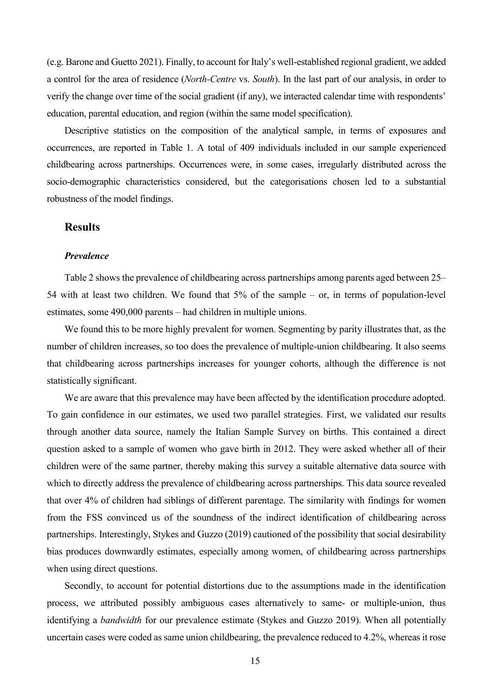(e.g. Barone and Guetto 2021). Finally, to account for Italy's well-established regional gradient, we added a control for the area of residence (*North-Centre* vs. *South*). In the last part of our analysis, in order to verify the change over time of the social gradient (if any), we interacted calendar time with respondents' education, parental education, and region (within the same model specification).

Descriptive statistics on the composition of the analytical sample, in terms of exposures and occurrences, are reported in Table 1. A total of 409 individuals included in our sample experienced childbearing across partnerships. Occurrences were, in some cases, irregularly distributed across the socio-demographic characteristics considered, but the categorisations chosen led to a substantial robustness of the model findings.

#### **Results**

#### *Prevalence*

Table 2 shows the prevalence of childbearing across partnerships among parents aged between 25– 54 with at least two children. We found that 5% of the sample – or, in terms of population-level estimates, some 490,000 parents – had children in multiple unions.

We found this to be more highly prevalent for women. Segmenting by parity illustrates that, as the number of children increases, so too does the prevalence of multiple-union childbearing. It also seems that childbearing across partnerships increases for younger cohorts, although the difference is not statistically significant.

We are aware that this prevalence may have been affected by the identification procedure adopted. To gain confidence in our estimates, we used two parallel strategies. First, we validated our results through another data source, namely the Italian Sample Survey on births. This contained a direct question asked to a sample of women who gave birth in 2012. They were asked whether all of their children were of the same partner, thereby making this survey a suitable alternative data source with which to directly address the prevalence of childbearing across partnerships. This data source revealed that over 4% of children had siblings of different parentage. The similarity with findings for women from the FSS convinced us of the soundness of the indirect identification of childbearing across partnerships. Interestingly, Stykes and Guzzo (2019) cautioned of the possibility that social desirability bias produces downwardly estimates, especially among women, of childbearing across partnerships when using direct questions.

Secondly, to account for potential distortions due to the assumptions made in the identification process, we attributed possibly ambiguous cases alternatively to same- or multiple-union, thus identifying a *bandwidth* for our prevalence estimate (Stykes and Guzzo 2019). When all potentially uncertain cases were coded as same union childbearing, the prevalence reduced to 4.2%, whereas it rose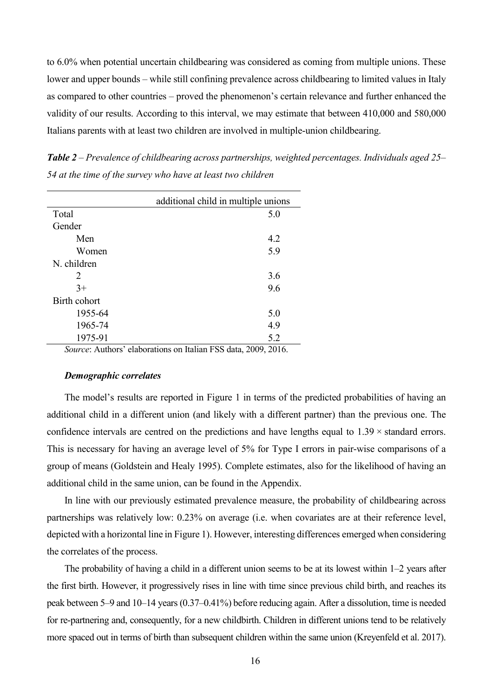to 6.0% when potential uncertain childbearing was considered as coming from multiple unions. These lower and upper bounds – while still confining prevalence across childbearing to limited values in Italy as compared to other countries – proved the phenomenon's certain relevance and further enhanced the validity of our results. According to this interval, we may estimate that between 410,000 and 580,000 Italians parents with at least two children are involved in multiple-union childbearing.

*Table 2 – Prevalence of childbearing across partnerships, weighted percentages. Individuals aged 25– 54 at the time of the survey who have at least two children*

|              | additional child in multiple unions |  |  |  |  |  |  |
|--------------|-------------------------------------|--|--|--|--|--|--|
| Total        | 5.0                                 |  |  |  |  |  |  |
| Gender       |                                     |  |  |  |  |  |  |
| Men          | 4.2                                 |  |  |  |  |  |  |
| Women        | 5.9                                 |  |  |  |  |  |  |
| N. children  |                                     |  |  |  |  |  |  |
| 2            | 3.6                                 |  |  |  |  |  |  |
| $3+$         | 9.6                                 |  |  |  |  |  |  |
| Birth cohort |                                     |  |  |  |  |  |  |
| 1955-64      | 5.0                                 |  |  |  |  |  |  |
| 1965-74      | 4.9                                 |  |  |  |  |  |  |
| 1975-91      | 5.2<br>$\cdot$ .<br>$-1$            |  |  |  |  |  |  |

*Source*: Authors' elaborations on Italian FSS data, 2009, 2016.

#### *Demographic correlates*

The model's results are reported in Figure 1 in terms of the predicted probabilities of having an additional child in a different union (and likely with a different partner) than the previous one. The confidence intervals are centred on the predictions and have lengths equal to  $1.39 \times$  standard errors. This is necessary for having an average level of 5% for Type I errors in pair-wise comparisons of a group of means (Goldstein and Healy 1995). Complete estimates, also for the likelihood of having an additional child in the same union, can be found in the Appendix.

In line with our previously estimated prevalence measure, the probability of childbearing across partnerships was relatively low: 0.23% on average (i.e. when covariates are at their reference level, depicted with a horizontal line in Figure 1). However, interesting differences emerged when considering the correlates of the process.

The probability of having a child in a different union seems to be at its lowest within 1–2 years after the first birth. However, it progressively rises in line with time since previous child birth, and reaches its peak between 5–9 and 10–14 years (0.37–0.41%) before reducing again. After a dissolution, time is needed for re-partnering and, consequently, for a new childbirth. Children in different unions tend to be relatively more spaced out in terms of birth than subsequent children within the same union (Kreyenfeld et al. 2017).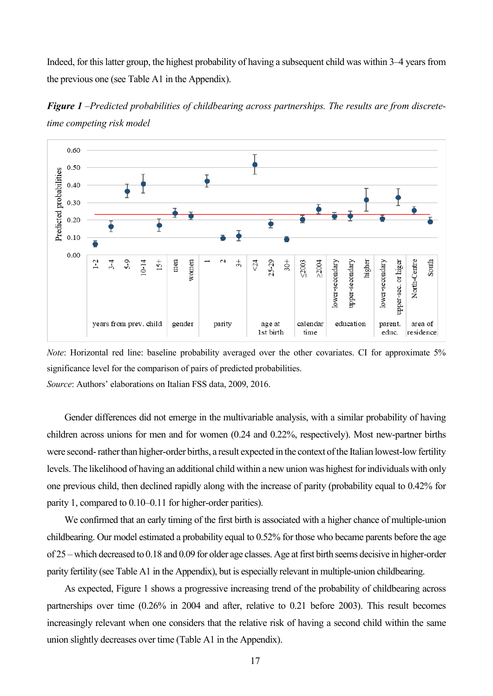Indeed, for this latter group, the highest probability of having a subsequent child was within 3–4 years from the previous one (see Table A1 in the Appendix).



*Figure 1 –Predicted probabilities of childbearing across partnerships. The results are from discretetime competing risk model*

*Note*: Horizontal red line: baseline probability averaged over the other covariates. CI for approximate 5% significance level for the comparison of pairs of predicted probabilities. *Source*: Authors' elaborations on Italian FSS data, 2009, 2016.

Gender differences did not emerge in the multivariable analysis, with a similar probability of having children across unions for men and for women (0.24 and 0.22%, respectively). Most new-partner births were second-rather than higher-order births, a result expected in the context of the Italian lowest-low fertility levels. The likelihood of having an additional child within a new union was highest for individuals with only one previous child, then declined rapidly along with the increase of parity (probability equal to 0.42% for parity 1, compared to 0.10–0.11 for higher-order parities).

We confirmed that an early timing of the first birth is associated with a higher chance of multiple-union childbearing. Our model estimated a probability equal to 0.52% for those who became parents before the age of 25 – which decreased to 0.18 and 0.09 for older age classes. Age at first birth seems decisive in higher-order parity fertility (see Table A1 in the Appendix), but is especially relevant in multiple-union childbearing.

As expected, Figure 1 shows a progressive increasing trend of the probability of childbearing across partnerships over time (0.26% in 2004 and after, relative to 0.21 before 2003). This result becomes increasingly relevant when one considers that the relative risk of having a second child within the same union slightly decreases over time (Table A1 in the Appendix).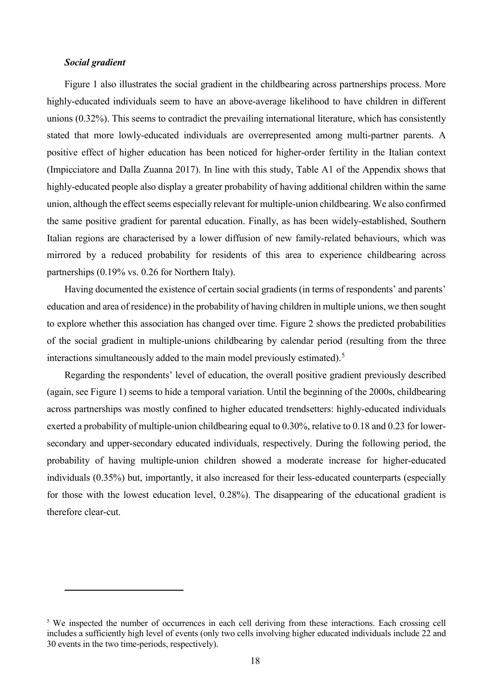#### *Social gradient*

 $\overline{a}$ 

Figure 1 also illustrates the social gradient in the childbearing across partnerships process. More highly-educated individuals seem to have an above-average likelihood to have children in different unions (0.32%). This seems to contradict the prevailing international literature, which has consistently stated that more lowly-educated individuals are overrepresented among multi-partner parents. A positive effect of higher education has been noticed for higher-order fertility in the Italian context (Impicciatore and Dalla Zuanna 2017). In line with this study, Table A1 of the Appendix shows that highly-educated people also display a greater probability of having additional children within the same union, although the effect seems especially relevant for multiple-union childbearing. We also confirmed the same positive gradient for parental education. Finally, as has been widely-established, Southern Italian regions are characterised by a lower diffusion of new family-related behaviours, which was mirrored by a reduced probability for residents of this area to experience childbearing across partnerships (0.19% vs. 0.26 for Northern Italy).

Having documented the existence of certain social gradients (in terms of respondents' and parents' education and area of residence) in the probability of having children in multiple unions, we then sought to explore whether this association has changed over time. Figure 2 shows the predicted probabilities of the social gradient in multiple-unions childbearing by calendar period (resulting from the three interactions simultaneously added to the main model previously estimated).<sup>[5](#page-18-0)</sup>

Regarding the respondents' level of education, the overall positive gradient previously described (again, see Figure 1) seems to hide a temporal variation. Until the beginning of the 2000s, childbearing across partnerships was mostly confined to higher educated trendsetters: highly-educated individuals exerted a probability of multiple-union childbearing equal to 0.30%, relative to 0.18 and 0.23 for lowersecondary and upper-secondary educated individuals, respectively. During the following period, the probability of having multiple-union children showed a moderate increase for higher-educated individuals (0.35%) but, importantly, it also increased for their less-educated counterparts (especially for those with the lowest education level, 0.28%). The disappearing of the educational gradient is therefore clear-cut.

<span id="page-18-0"></span><sup>&</sup>lt;sup>5</sup> We inspected the number of occurrences in each cell deriving from these interactions. Each crossing cell includes a sufficiently high level of events (only two cells involving higher educated individuals include 22 and 30 events in the two time-periods, respectively).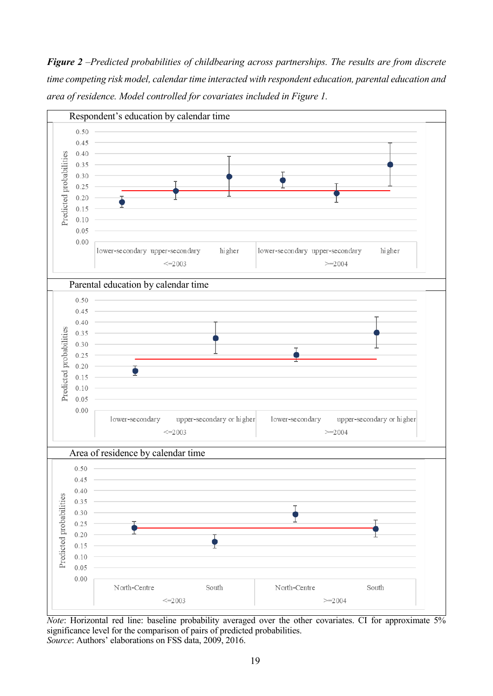*Figure 2 –Predicted probabilities of childbearing across partnerships. The results are from discrete time competing risk model, calendar time interacted with respondent education, parental education and area of residence. Model controlled for covariates included in Figure 1.* 



*Note*: Horizontal red line: baseline probability averaged over the other covariates. CI for approximate 5% significance level for the comparison of pairs of predicted probabilities. *Source*: Authors' elaborations on FSS data, 2009, 2016.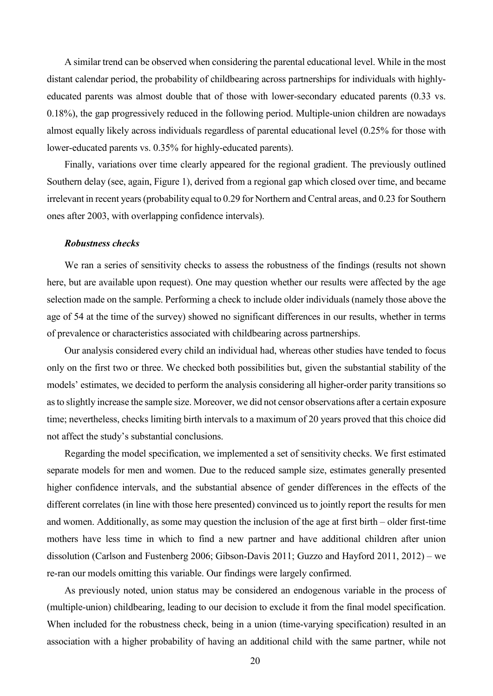A similar trend can be observed when considering the parental educational level. While in the most distant calendar period, the probability of childbearing across partnerships for individuals with highlyeducated parents was almost double that of those with lower-secondary educated parents (0.33 vs. 0.18%), the gap progressively reduced in the following period. Multiple-union children are nowadays almost equally likely across individuals regardless of parental educational level (0.25% for those with lower-educated parents vs. 0.35% for highly-educated parents).

Finally, variations over time clearly appeared for the regional gradient. The previously outlined Southern delay (see, again, Figure 1), derived from a regional gap which closed over time, and became irrelevant in recent years (probability equal to 0.29 for Northern and Central areas, and 0.23 for Southern ones after 2003, with overlapping confidence intervals).

#### *Robustness checks*

We ran a series of sensitivity checks to assess the robustness of the findings (results not shown here, but are available upon request). One may question whether our results were affected by the age selection made on the sample. Performing a check to include older individuals (namely those above the age of 54 at the time of the survey) showed no significant differences in our results, whether in terms of prevalence or characteristics associated with childbearing across partnerships.

Our analysis considered every child an individual had, whereas other studies have tended to focus only on the first two or three. We checked both possibilities but, given the substantial stability of the models' estimates, we decided to perform the analysis considering all higher-order parity transitions so asto slightly increase the sample size. Moreover, we did not censor observations after a certain exposure time; nevertheless, checks limiting birth intervals to a maximum of 20 years proved that this choice did not affect the study's substantial conclusions.

Regarding the model specification, we implemented a set of sensitivity checks. We first estimated separate models for men and women. Due to the reduced sample size, estimates generally presented higher confidence intervals, and the substantial absence of gender differences in the effects of the different correlates (in line with those here presented) convinced us to jointly report the results for men and women. Additionally, as some may question the inclusion of the age at first birth – older first-time mothers have less time in which to find a new partner and have additional children after union dissolution (Carlson and Fustenberg 2006; Gibson-Davis 2011; Guzzo and Hayford 2011, 2012) – we re-ran our models omitting this variable. Our findings were largely confirmed.

As previously noted, union status may be considered an endogenous variable in the process of (multiple-union) childbearing, leading to our decision to exclude it from the final model specification. When included for the robustness check, being in a union (time-varying specification) resulted in an association with a higher probability of having an additional child with the same partner, while not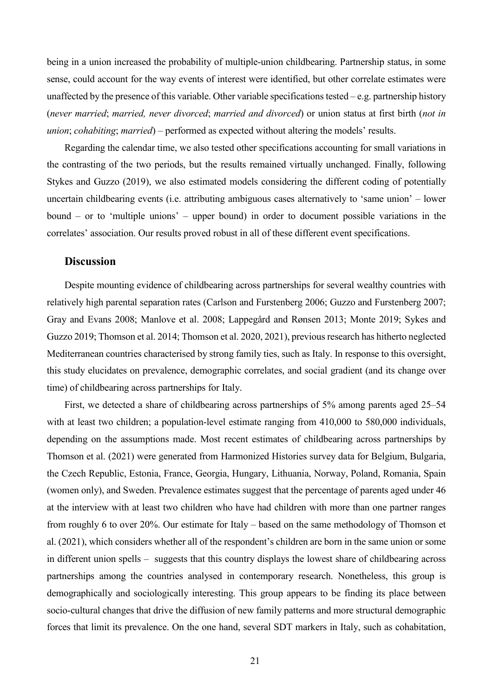being in a union increased the probability of multiple-union childbearing. Partnership status, in some sense, could account for the way events of interest were identified, but other correlate estimates were unaffected by the presence of this variable. Other variable specifications tested  $-e.g.$  partnership history (*never married*; *married, never divorced*; *married and divorced*) or union status at first birth (*not in union*; *cohabiting*; *married*) – performed as expected without altering the models' results.

Regarding the calendar time, we also tested other specifications accounting for small variations in the contrasting of the two periods, but the results remained virtually unchanged. Finally, following Stykes and Guzzo (2019), we also estimated models considering the different coding of potentially uncertain childbearing events (i.e. attributing ambiguous cases alternatively to 'same union' – lower bound – or to 'multiple unions' – upper bound) in order to document possible variations in the correlates' association. Our results proved robust in all of these different event specifications.

#### **Discussion**

Despite mounting evidence of childbearing across partnerships for several wealthy countries with relatively high parental separation rates (Carlson and Furstenberg 2006; Guzzo and Furstenberg 2007; Gray and Evans 2008; Manlove et al. 2008; Lappegård and Rønsen 2013; Monte 2019; Sykes and Guzzo 2019; Thomson et al. 2014; Thomson et al. 2020, 2021), previous research has hitherto neglected Mediterranean countries characterised by strong family ties, such as Italy. In response to this oversight, this study elucidates on prevalence, demographic correlates, and social gradient (and its change over time) of childbearing across partnerships for Italy.

First, we detected a share of childbearing across partnerships of 5% among parents aged 25–54 with at least two children; a population-level estimate ranging from 410,000 to 580,000 individuals, depending on the assumptions made. Most recent estimates of childbearing across partnerships by Thomson et al. (2021) were generated from Harmonized Histories survey data for Belgium, Bulgaria, the Czech Republic, Estonia, France, Georgia, Hungary, Lithuania, Norway, Poland, Romania, Spain (women only), and Sweden. Prevalence estimates suggest that the percentage of parents aged under 46 at the interview with at least two children who have had children with more than one partner ranges from roughly 6 to over 20%. Our estimate for Italy – based on the same methodology of Thomson et al. (2021), which considers whether all of the respondent's children are born in the same union or some in different union spells – suggests that this country displays the lowest share of childbearing across partnerships among the countries analysed in contemporary research. Nonetheless, this group is demographically and sociologically interesting. This group appears to be finding its place between socio-cultural changes that drive the diffusion of new family patterns and more structural demographic forces that limit its prevalence. On the one hand, several SDT markers in Italy, such as cohabitation,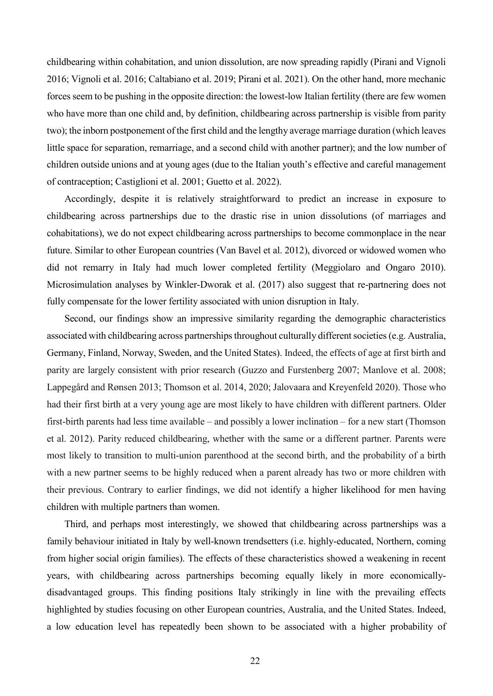childbearing within cohabitation, and union dissolution, are now spreading rapidly (Pirani and Vignoli 2016; Vignoli et al. 2016; Caltabiano et al. 2019; Pirani et al. 2021). On the other hand, more mechanic forces seem to be pushing in the opposite direction: the lowest-low Italian fertility (there are few women who have more than one child and, by definition, childbearing across partnership is visible from parity two); the inborn postponement of the first child and the lengthy average marriage duration (which leaves little space for separation, remarriage, and a second child with another partner); and the low number of children outside unions and at young ages (due to the Italian youth's effective and careful management of contraception; Castiglioni et al. 2001; Guetto et al. 2022).

Accordingly, despite it is relatively straightforward to predict an increase in exposure to childbearing across partnerships due to the drastic rise in union dissolutions (of marriages and cohabitations), we do not expect childbearing across partnerships to become commonplace in the near future. Similar to other European countries (Van Bavel et al. 2012), divorced or widowed women who did not remarry in Italy had much lower completed fertility (Meggiolaro and Ongaro 2010). Microsimulation analyses by Winkler-Dworak et al. (2017) also suggest that re-partnering does not fully compensate for the lower fertility associated with union disruption in Italy.

Second, our findings show an impressive similarity regarding the demographic characteristics associated with childbearing across partnerships throughout culturally different societies (e.g. Australia, Germany, Finland, Norway, Sweden, and the United States). Indeed, the effects of age at first birth and parity are largely consistent with prior research (Guzzo and Furstenberg 2007; Manlove et al. 2008; Lappegård and Rønsen 2013; Thomson et al. 2014, 2020; Jalovaara and Kreyenfeld 2020). Those who had their first birth at a very young age are most likely to have children with different partners. Older first-birth parents had less time available – and possibly a lower inclination – for a new start (Thomson et al. 2012). Parity reduced childbearing, whether with the same or a different partner. Parents were most likely to transition to multi-union parenthood at the second birth, and the probability of a birth with a new partner seems to be highly reduced when a parent already has two or more children with their previous. Contrary to earlier findings, we did not identify a higher likelihood for men having children with multiple partners than women.

Third, and perhaps most interestingly, we showed that childbearing across partnerships was a family behaviour initiated in Italy by well-known trendsetters (i.e. highly-educated, Northern, coming from higher social origin families). The effects of these characteristics showed a weakening in recent years, with childbearing across partnerships becoming equally likely in more economicallydisadvantaged groups. This finding positions Italy strikingly in line with the prevailing effects highlighted by studies focusing on other European countries, Australia, and the United States. Indeed, a low education level has repeatedly been shown to be associated with a higher probability of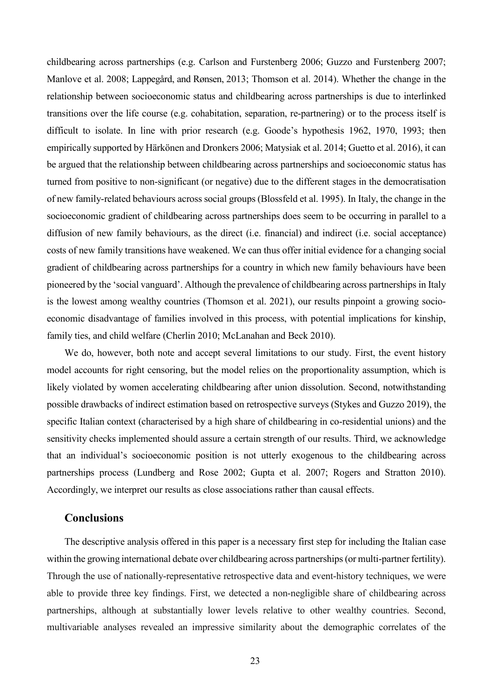childbearing across partnerships (e.g. Carlson and Furstenberg 2006; Guzzo and Furstenberg 2007; Manlove et al. 2008; Lappegård, and Rønsen, 2013; Thomson et al. 2014). Whether the change in the relationship between socioeconomic status and childbearing across partnerships is due to interlinked transitions over the life course (e.g. cohabitation, separation, re-partnering) or to the process itself is difficult to isolate. In line with prior research (e.g. Goode's hypothesis 1962, 1970, 1993; then empirically supported by Härkönen and Dronkers 2006; Matysiak et al. 2014; Guetto et al. 2016), it can be argued that the relationship between childbearing across partnerships and socioeconomic status has turned from positive to non-significant (or negative) due to the different stages in the democratisation of new family-related behaviours across social groups (Blossfeld et al. 1995). In Italy, the change in the socioeconomic gradient of childbearing across partnerships does seem to be occurring in parallel to a diffusion of new family behaviours, as the direct (i.e. financial) and indirect (i.e. social acceptance) costs of new family transitions have weakened. We can thus offer initial evidence for a changing social gradient of childbearing across partnerships for a country in which new family behaviours have been pioneered by the 'social vanguard'. Although the prevalence of childbearing across partnerships in Italy is the lowest among wealthy countries (Thomson et al. 2021), our results pinpoint a growing socioeconomic disadvantage of families involved in this process, with potential implications for kinship, family ties, and child welfare (Cherlin 2010; McLanahan and Beck 2010).

We do, however, both note and accept several limitations to our study. First, the event history model accounts for right censoring, but the model relies on the proportionality assumption, which is likely violated by women accelerating childbearing after union dissolution. Second, notwithstanding possible drawbacks of indirect estimation based on retrospective surveys (Stykes and Guzzo 2019), the specific Italian context (characterised by a high share of childbearing in co-residential unions) and the sensitivity checks implemented should assure a certain strength of our results. Third, we acknowledge that an individual's socioeconomic position is not utterly exogenous to the childbearing across partnerships process (Lundberg and Rose 2002; Gupta et al. 2007; Rogers and Stratton 2010). Accordingly, we interpret our results as close associations rather than causal effects.

#### **Conclusions**

The descriptive analysis offered in this paper is a necessary first step for including the Italian case within the growing international debate over childbearing across partnerships (or multi-partner fertility). Through the use of nationally-representative retrospective data and event-history techniques, we were able to provide three key findings. First, we detected a non-negligible share of childbearing across partnerships, although at substantially lower levels relative to other wealthy countries. Second, multivariable analyses revealed an impressive similarity about the demographic correlates of the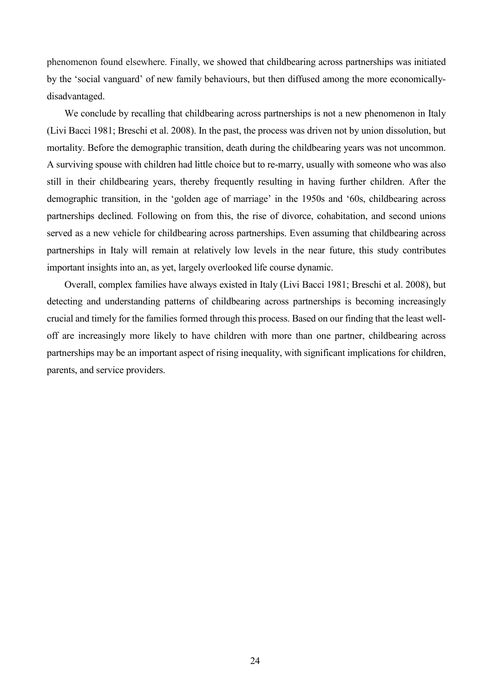phenomenon found elsewhere. Finally, we showed that childbearing across partnerships was initiated by the 'social vanguard' of new family behaviours, but then diffused among the more economicallydisadvantaged.

We conclude by recalling that childbearing across partnerships is not a new phenomenon in Italy (Livi Bacci 1981; Breschi et al. 2008). In the past, the process was driven not by union dissolution, but mortality. Before the demographic transition, death during the childbearing years was not uncommon. A surviving spouse with children had little choice but to re-marry, usually with someone who was also still in their childbearing years, thereby frequently resulting in having further children. After the demographic transition, in the 'golden age of marriage' in the 1950s and '60s, childbearing across partnerships declined. Following on from this, the rise of divorce, cohabitation, and second unions served as a new vehicle for childbearing across partnerships. Even assuming that childbearing across partnerships in Italy will remain at relatively low levels in the near future, this study contributes important insights into an, as yet, largely overlooked life course dynamic.

Overall, complex families have always existed in Italy (Livi Bacci 1981; Breschi et al. 2008), but detecting and understanding patterns of childbearing across partnerships is becoming increasingly crucial and timely for the families formed through this process. Based on our finding that the least welloff are increasingly more likely to have children with more than one partner, childbearing across partnerships may be an important aspect of rising inequality, with significant implications for children, parents, and service providers.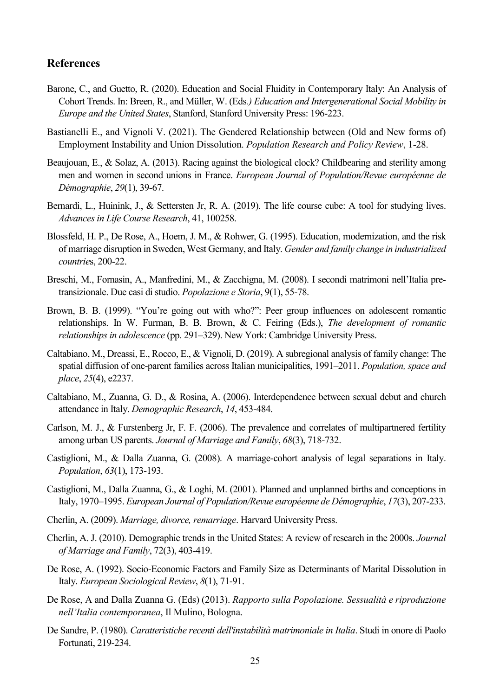#### **References**

- Barone, C., and Guetto, R. (2020). Education and Social Fluidity in Contemporary Italy: An Analysis of Cohort Trends. In: Breen, R., and Müller, W. (Eds*.) Education and Intergenerational Social Mobility in Europe and the United States*, Stanford, Stanford University Press: 196-223.
- Bastianelli E., and Vignoli V. (2021). The Gendered Relationship between (Old and New forms of) Employment Instability and Union Dissolution. *Population Research and Policy Review*, 1-28.
- Beaujouan, E., & Solaz, A. (2013). Racing against the biological clock? Childbearing and sterility among men and women in second unions in France. *European Journal of Population/Revue européenne de Démographie*, *29*(1), 39-67.
- Bernardi, L., Huinink, J., & Settersten Jr, R. A. (2019). The life course cube: A tool for studying lives. *Advances in Life Course Research*, 41, 100258.
- Blossfeld, H. P., De Rose, A., Hoem, J. M., & Rohwer, G. (1995). Education, modernization, and the risk of marriage disruption in Sweden, West Germany, and Italy. *Gender and family change in industrialized countrie*s, 200-22.
- Breschi, M., Fornasin, A., Manfredini, M., & Zacchigna, M. (2008). I secondi matrimoni nell'Italia pretransizionale. Due casi di studio. *Popolazione e Storia*, 9(1), 55-78.
- Brown, B. B. (1999). "You're going out with who?": Peer group influences on adolescent romantic relationships. In W. Furman, B. B. Brown, & C. Feiring (Eds.), *The development of romantic relationships in adolescence* (pp. 291–329). New York: Cambridge University Press.
- Caltabiano, M., Dreassi, E., Rocco, E., & Vignoli, D. (2019). A subregional analysis of family change: The spatial diffusion of one‐parent families across Italian municipalities, 1991–2011. *Population, space and place*, *25*(4), e2237.
- Caltabiano, M., Zuanna, G. D., & Rosina, A. (2006). Interdependence between sexual debut and church attendance in Italy. *Demographic Research*, *14*, 453-484.
- Carlson, M. J., & Furstenberg Jr, F. F. (2006). The prevalence and correlates of multipartnered fertility among urban US parents. *Journal of Marriage and Family*, *68*(3), 718-732.
- Castiglioni, M., & Dalla Zuanna, G. (2008). A marriage-cohort analysis of legal separations in Italy. *Population*, *63*(1), 173-193.
- Castiglioni, M., Dalla Zuanna, G., & Loghi, M. (2001). Planned and unplanned births and conceptions in Italy, 1970–1995. *European Journal of Population/Revue européenne de Démographie*, *17*(3), 207-233.
- Cherlin, A. (2009). *Marriage, divorce, remarriage*. Harvard University Press.
- Cherlin, A. J. (2010). Demographic trends in the United States: A review of research in the 2000s. *Journal of Marriage and Family*, 72(3), 403-419.
- De Rose, A. (1992). Socio-Economic Factors and Family Size as Determinants of Marital Dissolution in Italy. *European Sociological Review*, *8*(1), 71-91.
- De Rose, A and Dalla Zuanna G. (Eds) (2013). *Rapporto sulla Popolazione. Sessualità e riproduzione nell'Italia contemporanea*, Il Mulino, Bologna.
- De Sandre, P. (1980). *Caratteristiche recenti dell'instabilità matrimoniale in Italia*. Studi in onore di Paolo Fortunati, 219-234.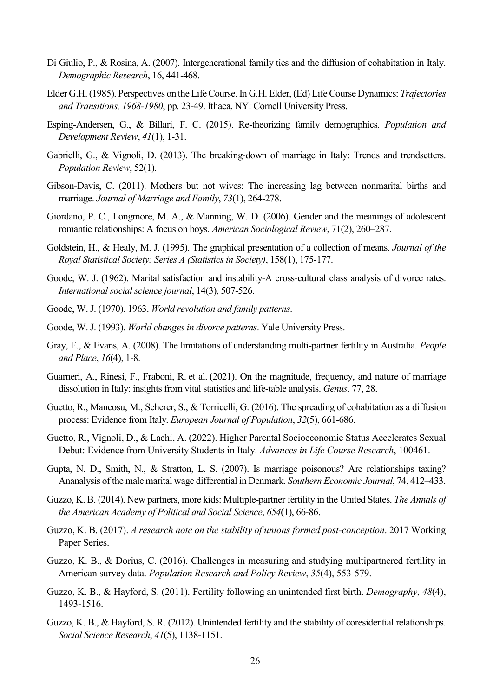- Di Giulio, P., & Rosina, A. (2007). Intergenerational family ties and the diffusion of cohabitation in Italy. *Demographic Research*, 16, 441-468.
- Elder G.H. (1985). Perspectives on the Life Course. In G.H. Elder, (Ed) Life Course Dynamics: *Trajectories and Transitions, 1968-1980*, pp. 23-49. Ithaca, NY: Cornell University Press.
- Esping‐Andersen, G., & Billari, F. C. (2015). Re‐theorizing family demographics. *Population and Development Review*, *41*(1), 1-31.
- Gabrielli, G., & Vignoli, D. (2013). The breaking-down of marriage in Italy: Trends and trendsetters. *Population Review*, 52(1).
- Gibson‐Davis, C. (2011). Mothers but not wives: The increasing lag between nonmarital births and marriage. *Journal of Marriage and Family*, *73*(1), 264-278.
- Giordano, P. C., Longmore, M. A., & Manning, W. D. (2006). Gender and the meanings of adolescent romantic relationships: A focus on boys. *American Sociological Review*, 71(2), 260–287.
- Goldstein, H., & Healy, M. J. (1995). The graphical presentation of a collection of means. *Journal of the Royal Statistical Society: Series A (Statistics in Society)*, 158(1), 175-177.
- Goode, W. J. (1962). Marital satisfaction and instability-A cross-cultural class analysis of divorce rates. *International social science journal*, 14(3), 507-526.
- Goode, W. J. (1970). 1963. *World revolution and family patterns*.
- Goode, W. J. (1993). *World changes in divorce patterns*. Yale University Press.
- Gray, E., & Evans, A. (2008). The limitations of understanding multi-partner fertility in Australia. *People and Place*, *16*(4), 1-8.
- Guarneri, A., Rinesi, F., Fraboni, R. et al. (2021). On the magnitude, frequency, and nature of marriage dissolution in Italy: insights from vital statistics and life-table analysis. *Genus*. 77, 28.
- Guetto, R., Mancosu, M., Scherer, S., & Torricelli, G. (2016). The spreading of cohabitation as a diffusion process: Evidence from Italy. *European Journal of Population*, *32*(5), 661-686.
- Guetto, R., Vignoli, D., & Lachi, A. (2022). Higher Parental Socioeconomic Status Accelerates Sexual Debut: Evidence from University Students in Italy. *Advances in Life Course Research*, 100461.
- Gupta, N. D., Smith, N., & Stratton, L. S. (2007). Is marriage poisonous? Are relationships taxing? Ananalysis of the male marital wage differential in Denmark. *Southern Economic Journal*, 74, 412–433.
- Guzzo, K. B. (2014). New partners, more kids: Multiple-partner fertility in the United States. *The Annals of the American Academy of Political and Social Science*, *654*(1), 66-86.
- Guzzo, K. B. (2017). *A research note on the stability of unions formed post-conception*. 2017 Working Paper Series.
- Guzzo, K. B., & Dorius, C. (2016). Challenges in measuring and studying multipartnered fertility in American survey data. *Population Research and Policy Review*, *35*(4), 553-579.
- Guzzo, K. B., & Hayford, S. (2011). Fertility following an unintended first birth. *Demography*, *48*(4), 1493-1516.
- Guzzo, K. B., & Hayford, S. R. (2012). Unintended fertility and the stability of coresidential relationships. *Social Science Research*, *41*(5), 1138-1151.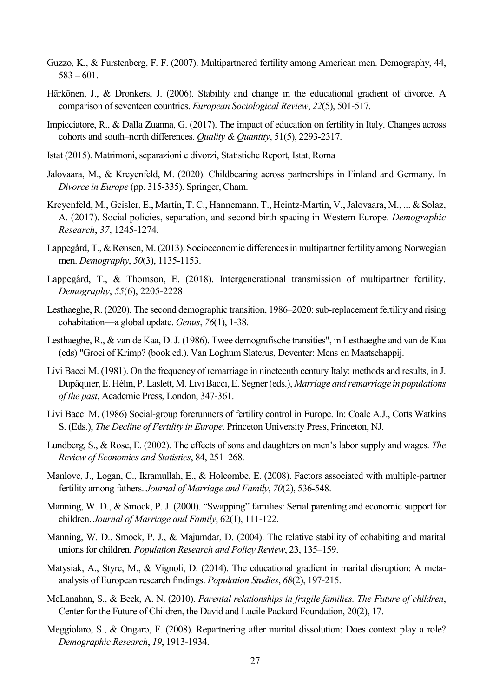- Guzzo, K., & Furstenberg, F. F. (2007). Multipartnered fertility among American men. Demography, 44,  $583 - 601$ .
- Härkönen, J., & Dronkers, J. (2006). Stability and change in the educational gradient of divorce. A comparison of seventeen countries. *European Sociological Review*, *22*(5), 501-517.
- Impicciatore, R., & Dalla Zuanna, G. (2017). The impact of education on fertility in Italy. Changes across cohorts and south–north differences. *Quality & Quantity*, 51(5), 2293-2317.
- Istat (2015). Matrimoni, separazioni e divorzi, Statistiche Report, Istat, Roma
- Jalovaara, M., & Kreyenfeld, M. (2020). Childbearing across partnerships in Finland and Germany. In *Divorce in Europe* (pp. 315-335). Springer, Cham.
- Kreyenfeld, M., Geisler, E., Martín, T. C., Hannemann, T., Heintz-Martin, V., Jalovaara, M., ... & Solaz, A. (2017). Social policies, separation, and second birth spacing in Western Europe. *Demographic Research*, *37*, 1245-1274.
- Lappegård, T., & Rønsen, M. (2013). Socioeconomic differences in multipartner fertility among Norwegian men. *Demography*, *50*(3), 1135-1153.
- Lappegård, T., & Thomson, E. (2018). Intergenerational transmission of multipartner fertility. *Demography*, *55*(6), 2205-2228
- Lesthaeghe, R. (2020). The second demographic transition, 1986–2020: sub-replacement fertility and rising cohabitation—a global update. *Genus*, *76*(1), 1-38.
- Lesthaeghe, R., & van de Kaa, D. J. (1986). Twee demografische transities", in Lesthaeghe and van de Kaa (eds) "Groei of Krimp? (book ed.). Van Loghum Slaterus, Deventer: Mens en Maatschappij.
- Livi Bacci M. (1981). On the frequency of remarriage in nineteenth century Italy: methods and results, in J. Dupâquier, E. Hélin, P. Laslett, M. Livi Bacci, E. Segner (eds.), *Marriage and remarriage in populations of the past*, Academic Press, London, 347-361.
- Livi Bacci M. (1986) Social-group forerunners of fertility control in Europe. In: Coale A.J., Cotts Watkins S. (Eds.), *The Decline of Fertility in Europe*. Princeton University Press, Princeton, NJ.
- Lundberg, S., & Rose, E. (2002). The effects of sons and daughters on men's labor supply and wages. *The Review of Economics and Statistics*, 84, 251–268.
- Manlove, J., Logan, C., Ikramullah, E., & Holcombe, E. (2008). Factors associated with multiple-partner fertility among fathers. *Journal of Marriage and Family*, *70*(2), 536-548.
- Manning, W. D., & Smock, P. J. (2000). "Swapping" families: Serial parenting and economic support for children. *Journal of Marriage and Family*, 62(1), 111-122.
- Manning, W. D., Smock, P. J., & Majumdar, D. (2004). The relative stability of cohabiting and marital unions for children, *Population Research and Policy Review*, 23, 135–159.
- Matysiak, A., Styrc, M., & Vignoli, D. (2014). The educational gradient in marital disruption: A metaanalysis of European research findings. *Population Studies*, *68*(2), 197-215.
- McLanahan, S., & Beck, A. N. (2010). *Parental relationships in fragile families. The Future of children*, Center for the Future of Children, the David and Lucile Packard Foundation, 20(2), 17.
- Meggiolaro, S., & Ongaro, F. (2008). Repartnering after marital dissolution: Does context play a role? *Demographic Research*, *19*, 1913-1934.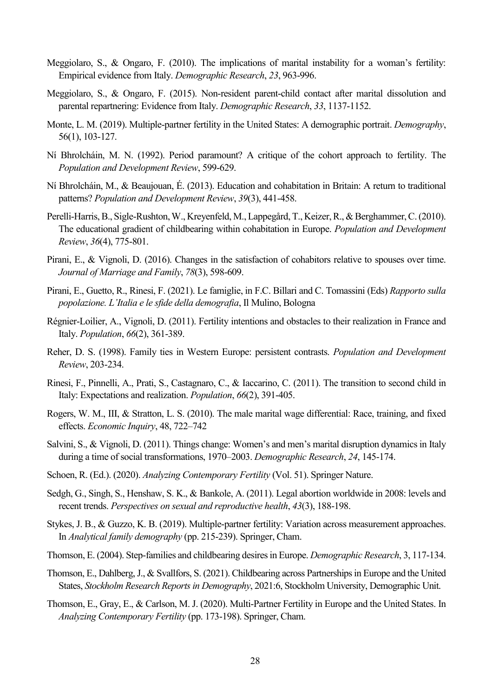- Meggiolaro, S., & Ongaro, F. (2010). The implications of marital instability for a woman's fertility: Empirical evidence from Italy. *Demographic Research*, *23*, 963-996.
- Meggiolaro, S., & Ongaro, F. (2015). Non-resident parent-child contact after marital dissolution and parental repartnering: Evidence from Italy. *Demographic Research*, *33*, 1137-1152.
- Monte, L. M. (2019). Multiple-partner fertility in the United States: A demographic portrait. *Demography*, 56(1), 103-127.
- Ní Bhrolcháin, M. N. (1992). Period paramount? A critique of the cohort approach to fertility. The *Population and Development Review*, 599-629.
- Ní Bhrolcháin, M., & Beaujouan, É. (2013). Education and cohabitation in Britain: A return to traditional patterns? *Population and Development Review*, *39*(3), 441-458.
- Perelli‐Harris, B., Sigle‐Rushton, W., Kreyenfeld, M., Lappegård, T., Keizer, R., & Berghammer, C. (2010). The educational gradient of childbearing within cohabitation in Europe. *Population and Development Review*, *36*(4), 775-801.
- Pirani, E., & Vignoli, D. (2016). Changes in the satisfaction of cohabitors relative to spouses over time. *Journal of Marriage and Family*, *78*(3), 598-609.
- Pirani, E., Guetto, R., Rinesi, F. (2021). Le famiglie, in F.C. Billari and C. Tomassini (Eds) *Rapporto sulla popolazione. L'Italia e le sfide della demografia*, Il Mulino, Bologna
- Régnier-Loilier, A., Vignoli, D. (2011). Fertility intentions and obstacles to their realization in France and Italy. *Population*, *66*(2), 361-389.
- Reher, D. S. (1998). Family ties in Western Europe: persistent contrasts. *Population and Development Review*, 203-234.
- Rinesi, F., Pinnelli, A., Prati, S., Castagnaro, C., & Iaccarino, C. (2011). The transition to second child in Italy: Expectations and realization. *Population*, *66*(2), 391-405.
- Rogers, W. M., III, & Stratton, L. S. (2010). The male marital wage differential: Race, training, and fixed effects. *Economic Inquiry*, 48, 722–742
- Salvini, S., & Vignoli, D. (2011). Things change: Women's and men's marital disruption dynamics in Italy during a time of social transformations, 1970–2003. *Demographic Research*, *24*, 145-174.
- Schoen, R. (Ed.). (2020). *Analyzing Contemporary Fertility* (Vol. 51). Springer Nature.
- Sedgh, G., Singh, S., Henshaw, S. K., & Bankole, A. (2011). Legal abortion worldwide in 2008: levels and recent trends. *Perspectives on sexual and reproductive health*, *43*(3), 188-198.
- Stykes, J. B., & Guzzo, K. B. (2019). Multiple-partner fertility: Variation across measurement approaches. In *Analytical family demography* (pp. 215-239). Springer, Cham.
- Thomson, E. (2004). Step-families and childbearing desires in Europe. *Demographic Research*, 3, 117-134.
- Thomson, E., Dahlberg, J., & Svallfors, S. (2021). Childbearing across Partnerships in Europe and the United States, *Stockholm Research Reports in Demography*, 2021:6, Stockholm University, Demographic Unit.
- Thomson, E., Gray, E., & Carlson, M. J. (2020). Multi-Partner Fertility in Europe and the United States. In *Analyzing Contemporary Fertility* (pp. 173-198). Springer, Cham.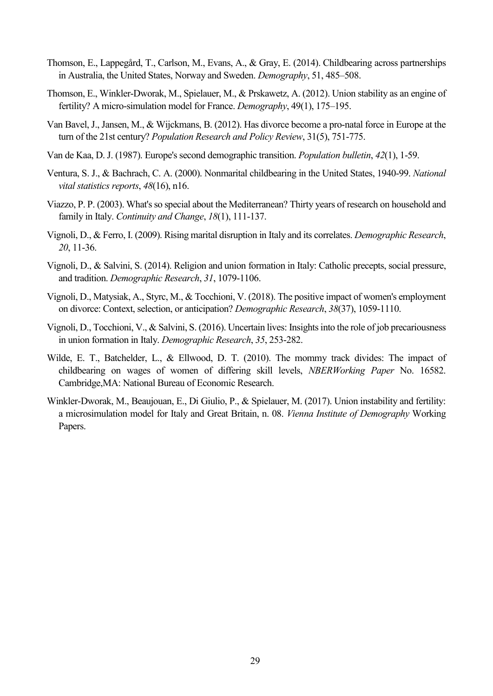- Thomson, E., Lappegård, T., Carlson, M., Evans, A., & Gray, E. (2014). Childbearing across partnerships in Australia, the United States, Norway and Sweden. *Demography*, 51, 485–508.
- Thomson, E., Winkler-Dworak, M., Spielauer, M., & Prskawetz, A. (2012). Union stability as an engine of fertility? A micro-simulation model for France. *Demography*, 49(1), 175–195.
- Van Bavel, J., Jansen, M., & Wijckmans, B. (2012). Has divorce become a pro-natal force in Europe at the turn of the 21st century? *Population Research and Policy Review*, 31(5), 751-775.
- Van de Kaa, D. J. (1987). Europe's second demographic transition. *Population bulletin*, *42*(1), 1-59.
- Ventura, S. J., & Bachrach, C. A. (2000). Nonmarital childbearing in the United States, 1940-99. *National vital statistics reports*, *48*(16), n16.
- Viazzo, P. P. (2003). What's so special about the Mediterranean? Thirty years of research on household and family in Italy. *Continuity and Change*, *18*(1), 111-137.
- Vignoli, D., & Ferro, I. (2009). Rising marital disruption in Italy and its correlates. *Demographic Research*, *20*, 11-36.
- Vignoli, D., & Salvini, S. (2014). Religion and union formation in Italy: Catholic precepts, social pressure, and tradition. *Demographic Research*, *31*, 1079-1106.
- Vignoli, D., Matysiak, A., Styrc, M., & Tocchioni, V. (2018). The positive impact of women's employment on divorce: Context, selection, or anticipation? *Demographic Research*, *38*(37), 1059-1110.
- Vignoli, D., Tocchioni, V., & Salvini, S. (2016). Uncertain lives: Insights into the role of job precariousness in union formation in Italy. *Demographic Research*, *35*, 253-282.
- Wilde, E. T., Batchelder, L., & Ellwood, D. T. (2010). The mommy track divides: The impact of childbearing on wages of women of differing skill levels, *NBERWorking Paper* No. 16582. Cambridge,MA: National Bureau of Economic Research.
- Winkler-Dworak, M., Beaujouan, E., Di Giulio, P., & Spielauer, M. (2017). Union instability and fertility: a microsimulation model for Italy and Great Britain, n. 08. *Vienna Institute of Demography* Working Papers.